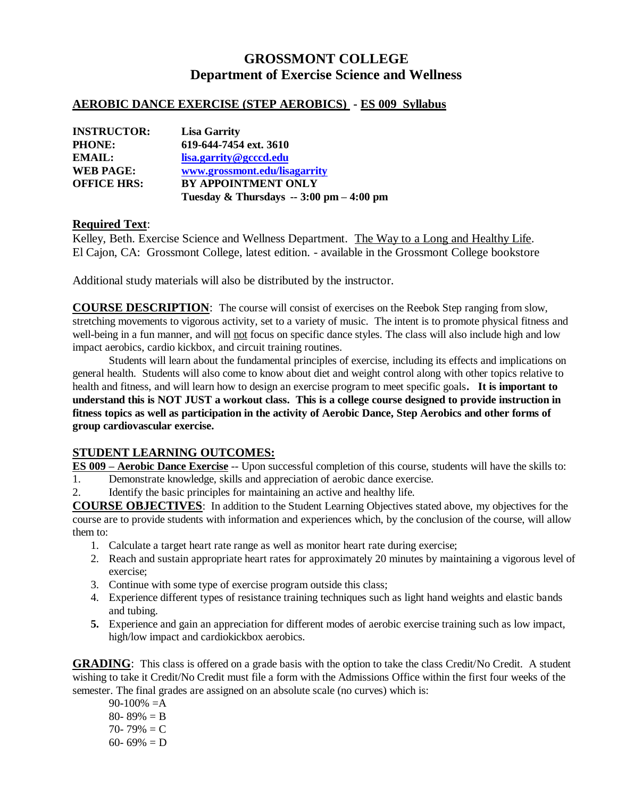# **GROSSMONT COLLEGE Department of Exercise Science and Wellness**

### **AEROBIC DANCE EXERCISE (STEP AEROBICS) - ES 009 Syllabus**

| <b>INSTRUCTOR:</b> | <b>Lisa Garrity</b>                                      |
|--------------------|----------------------------------------------------------|
| <b>PHONE:</b>      | 619-644-7454 ext. 3610                                   |
| EMAIL:             | lisa.garrity@gcccd.edu                                   |
| <b>WEB PAGE:</b>   | www.grossmont.edu/lisagarrity                            |
| <b>OFFICE HRS:</b> | <b>BY APPOINTMENT ONLY</b>                               |
|                    | Tuesday & Thursdays $-3:00 \text{ pm} - 4:00 \text{ pm}$ |

#### **Required Text**:

Kelley, Beth. Exercise Science and Wellness Department. The Way to a Long and Healthy Life. El Cajon, CA: Grossmont College, latest edition. - available in the Grossmont College bookstore

Additional study materials will also be distributed by the instructor.

**COURSE DESCRIPTION**: The course will consist of exercises on the Reebok Step ranging from slow, stretching movements to vigorous activity, set to a variety of music. The intent is to promote physical fitness and well-being in a fun manner, and will not focus on specific dance styles. The class will also include high and low impact aerobics, cardio kickbox, and circuit training routines.

Students will learn about the fundamental principles of exercise, including its effects and implications on general health. Students will also come to know about diet and weight control along with other topics relative to health and fitness, and will learn how to design an exercise program to meet specific goals**. It is important to understand this is NOT JUST a workout class. This is a college course designed to provide instruction in fitness topics as well as participation in the activity of Aerobic Dance, Step Aerobics and other forms of group cardiovascular exercise.**

#### **STUDENT LEARNING OUTCOMES:**

**ES 009 – Aerobic Dance Exercise** -- Upon successful completion of this course, students will have the skills to:

- 1. Demonstrate knowledge, skills and appreciation of aerobic dance exercise.
- 2. Identify the basic principles for maintaining an active and healthy life.

**COURSE OBJECTIVES**: In addition to the Student Learning Objectives stated above, my objectives for the course are to provide students with information and experiences which, by the conclusion of the course, will allow them to:

- 1. Calculate a target heart rate range as well as monitor heart rate during exercise;
- 2. Reach and sustain appropriate heart rates for approximately 20 minutes by maintaining a vigorous level of exercise;
- 3. Continue with some type of exercise program outside this class;
- 4. Experience different types of resistance training techniques such as light hand weights and elastic bands and tubing.
- **5.** Experience and gain an appreciation for different modes of aerobic exercise training such as low impact, high/low impact and cardiokickbox aerobics.

**GRADING**: This class is offered on a grade basis with the option to take the class Credit/No Credit. A student wishing to take it Credit/No Credit must file a form with the Admissions Office within the first four weeks of the semester. The final grades are assigned on an absolute scale (no curves) which is:

 $90-100\% = A$ 80- 89%  $=$  B 70- 79%  $= C$ 60- 69% = D